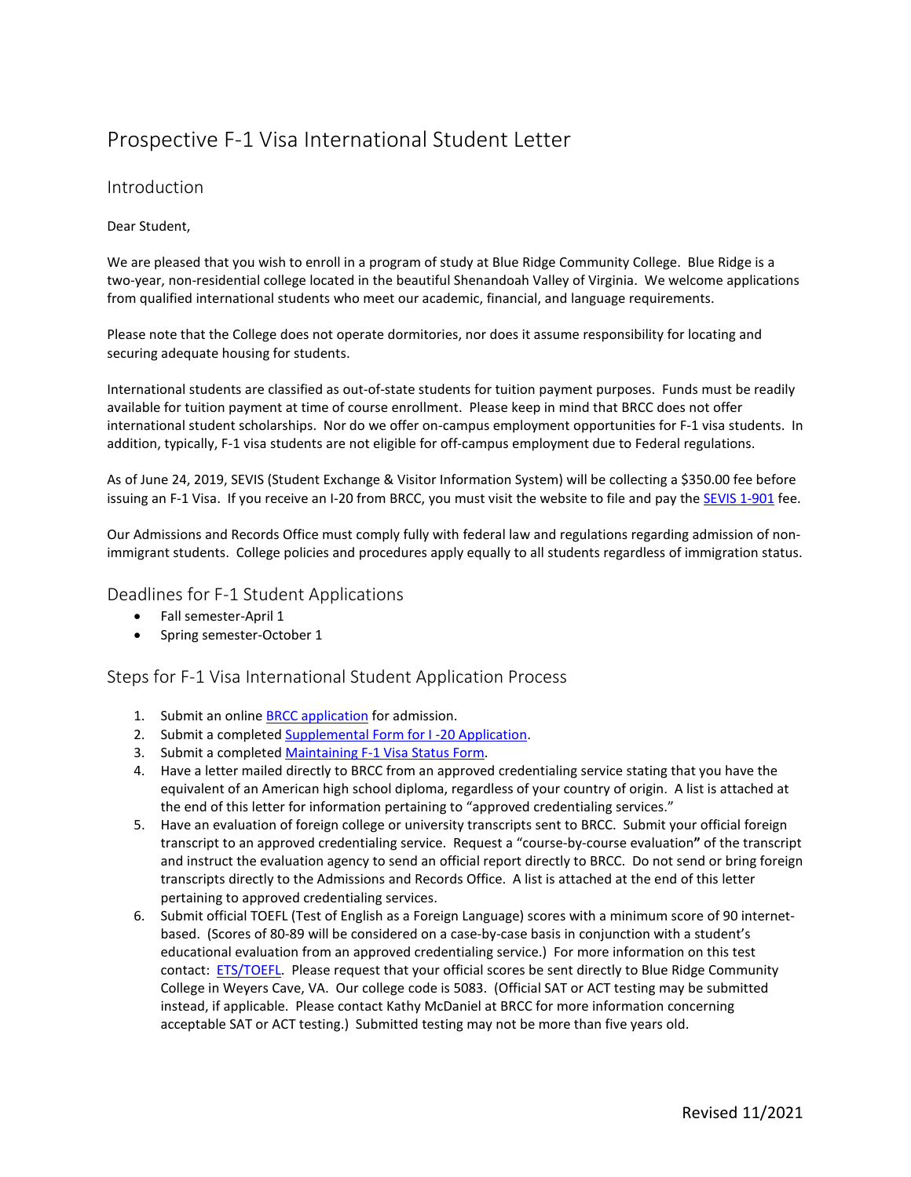# Prospective F-1 Visa International Student Letter

#### Introduction

#### Dear Student,

We are pleased that you wish to enroll in a program of study at Blue Ridge Community College. Blue Ridge is a two-year, non-residential college located in the beautiful Shenandoah Valley of Virginia. We welcome applications from qualified international students who meet our academic, financial, and language requirements.

Please note that the College does not operate dormitories, nor does it assume responsibility for locating and securing adequate housing for students.

International students are classified as out-of-state students for tuition payment purposes. Funds must be readily available for tuition payment at time of course enrollment. Please keep in mind that BRCC does not offer international student scholarships. Nor do we offer on-campus employment opportunities for F-1 visa students. In addition, typically, F-1 visa students are not eligible for off-campus employment due to Federal regulations.

As of June 24, 2019, SEVIS (Student Exchange & Visitor Information System) will be collecting a \$350.00 fee before issuing an F-1 Visa. If you receive an I-20 from BRCC, you must visit the website to file and pay the [SEVIS 1-901](http://www.fmjfee.com/) fee.

Our Admissions and Records Office must comply fully with federal law and regulations regarding admission of nonimmigrant students. College policies and procedures apply equally to all students regardless of immigration status.

Deadlines for F-1 Student Applications

- Fall semester-April 1
- Spring semester-October 1

Steps for F-1 Visa International Student Application Process

- 1. Submit an online **BRCC** application for admission.
- 2. Submit a completed Supplemental Form for I-20 Application.
- 3. Submit a completed [Maintaining F-1 Visa Status Form.](http://www.brcc.edu/Assets/uploads/admissions/international/F-1_maintaining_status.pdf)
- 4. Have a letter mailed directly to BRCC from an approved credentialing service stating that you have the equivalent of an American high school diploma, regardless of your country of origin. A list is attached at the end of this letter for information pertaining to "approved credentialing services."
- 5. Have an evaluation of foreign college or university transcripts sent to BRCC. Submit your official foreign transcript to an approved credentialing service. Request a "course-by-course evaluation**"** of the transcript and instruct the evaluation agency to send an official report directly to BRCC. Do not send or bring foreign transcripts directly to the Admissions and Records Office. A list is attached at the end of this letter pertaining to approved credentialing services.
- 6. Submit official TOEFL (Test of English as a Foreign Language) scores with a minimum score of 90 internetbased. (Scores of 80-89 will be considered on a case-by-case basis in conjunction with a student's educational evaluation from an approved credentialing service.) For more information on this test contact: **ETS/TOEFL.** Please request that your official scores be sent directly to Blue Ridge Community College in Weyers Cave, VA. Our college code is 5083. (Official SAT or ACT testing may be submitted instead, if applicable. Please contact Kathy McDaniel at BRCC for more information concerning acceptable SAT or ACT testing.) Submitted testing may not be more than five years old.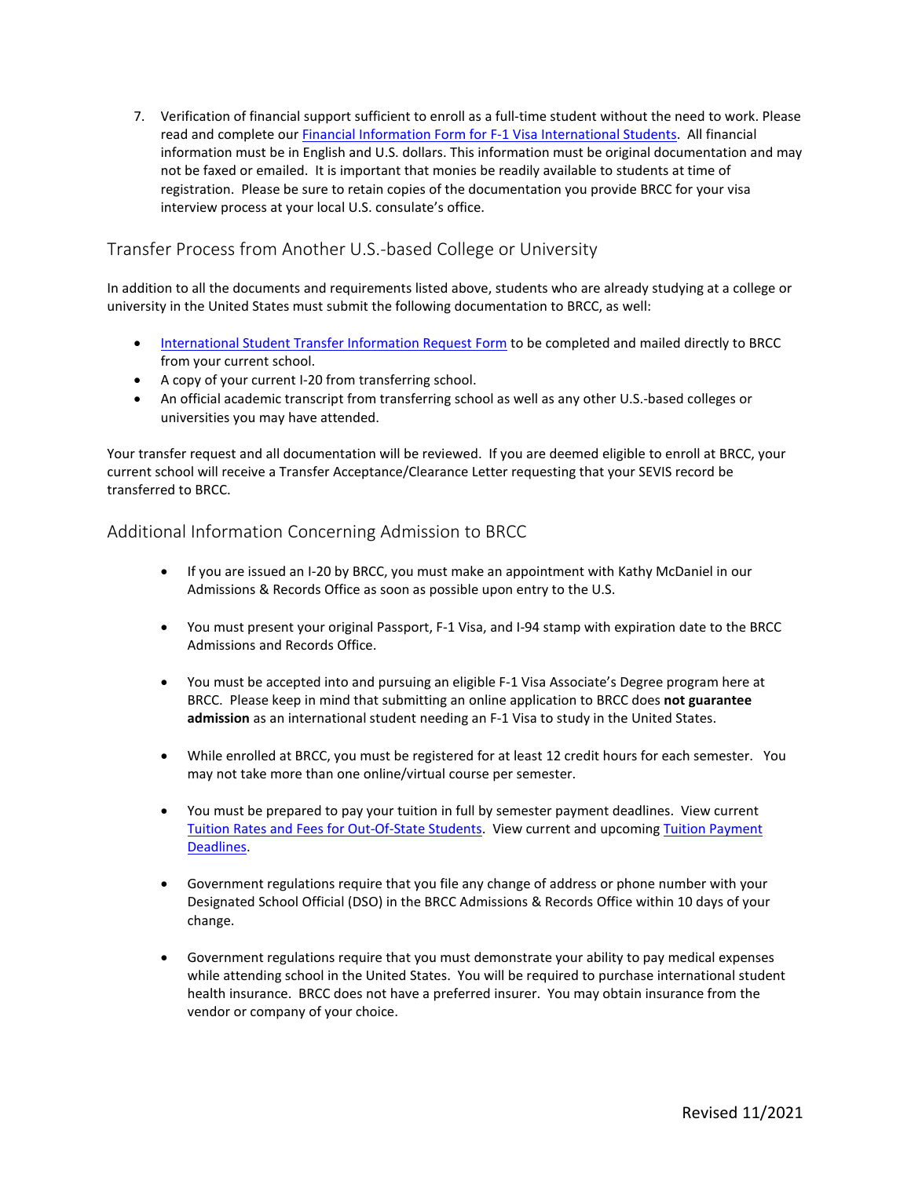7. Verification of financial support sufficient to enroll as a full-time student without the need to work. Please read and complete our [Financial Information Form for F-1 Visa International Students.](https://www.brcc.edu/Assets/uploads/admissions/international/F-1_financial_info.pdf) All financial information must be in English and U.S. dollars. This information must be original documentation and may not be faxed or emailed. It is important that monies be readily available to students at time of registration. Please be sure to retain copies of the documentation you provide BRCC for your visa interview process at your local U.S. consulate's office.

## Transfer Process from Another U.S.-based College or University

In addition to all the documents and requirements listed above, students who are already studying at a college or university in the United States must submit the following documentation to BRCC, as well:

- [International Student Transfer Information Request Form](http://www.brcc.edu/Assets/uploads/admissions/international/international-student-transfer-request.pdf) to be completed and mailed directly to BRCC from your current school.
- A copy of your current I-20 from transferring school.
- An official academic transcript from transferring school as well as any other U.S.-based colleges or universities you may have attended.

Your transfer request and all documentation will be reviewed. If you are deemed eligible to enroll at BRCC, your current school will receive a Transfer Acceptance/Clearance Letter requesting that your SEVIS record be transferred to BRCC.

#### Additional Information Concerning Admission to BRCC

- If you are issued an I-20 by BRCC, you must make an appointment with Kathy McDaniel in our Admissions & Records Office as soon as possible upon entry to the U.S.
- You must present your original Passport, F-1 Visa, and I-94 stamp with expiration date to the BRCC Admissions and Records Office.
- You must be accepted into and pursuing an eligible F-1 Visa Associate's Degree program here at BRCC. Please keep in mind that submitting an online application to BRCC does **not guarantee admission** as an international student needing an F-1 Visa to study in the United States.
- While enrolled at BRCC, you must be registered for at least 12 credit hours for each semester. You may not take more than one online/virtual course per semester.
- You must be prepared to pay your tuition in full by semester payment deadlines. View current [Tuition Rates and Fees for Out-Of-State Students.](https://www.brcc.edu/classes/tuition/tuition-rates/) View current and upcoming [Tuition Payment](http://www.brcc.edu/classes/tuition/payment-deadlines/index.html)  [Deadlines.](http://www.brcc.edu/classes/tuition/payment-deadlines/index.html)
- Government regulations require that you file any change of address or phone number with your Designated School Official (DSO) in the BRCC Admissions & Records Office within 10 days of your change.
- Government regulations require that you must demonstrate your ability to pay medical expenses while attending school in the United States. You will be required to purchase international student health insurance. BRCC does not have a preferred insurer. You may obtain insurance from the vendor or company of your choice.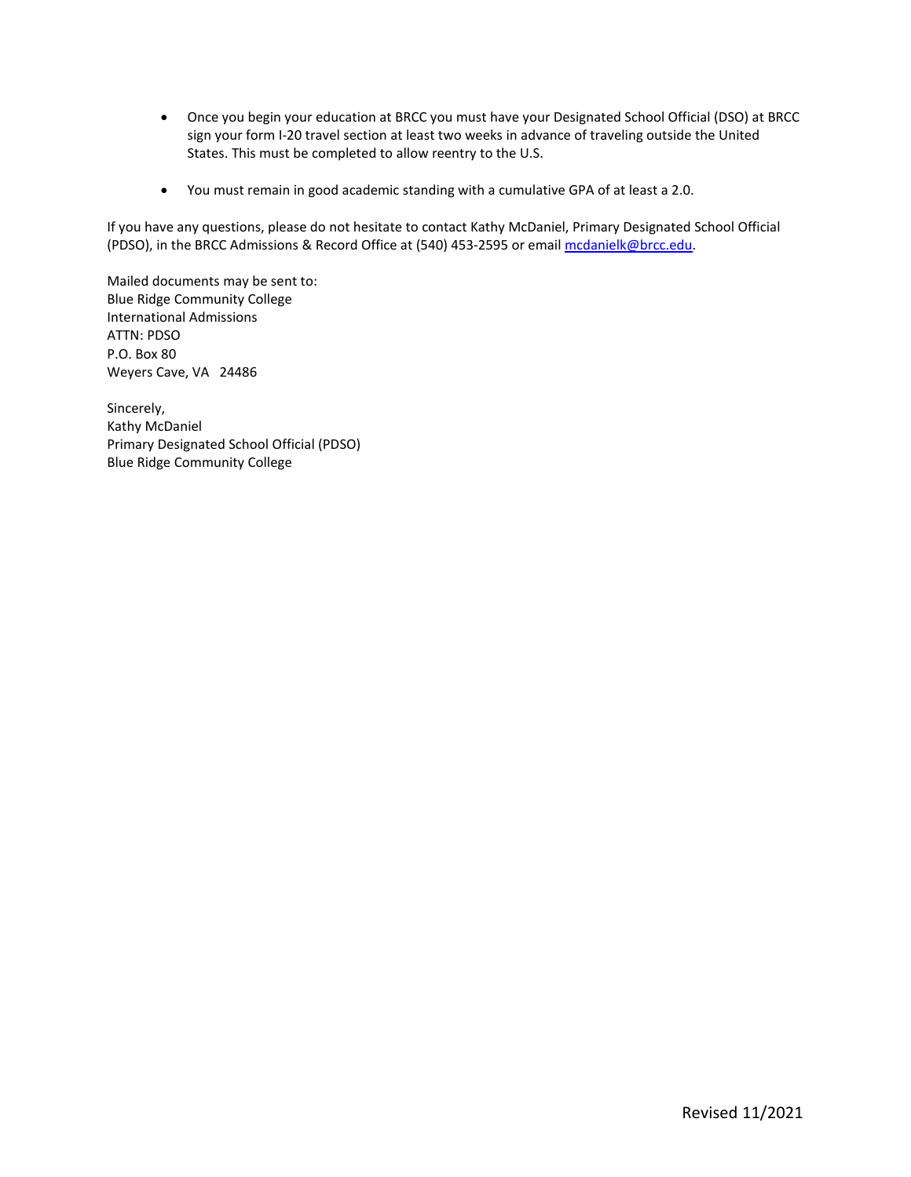- Once you begin your education at BRCC you must have your Designated School Official (DSO) at BRCC sign your form I-20 travel section at least two weeks in advance of traveling outside the United States. This must be completed to allow reentry to the U.S.
- You must remain in good academic standing with a cumulative GPA of at least a 2.0.

If you have any questions, please do not hesitate to contact Kathy McDaniel, Primary Designated School Official (PDSO), in the BRCC Admissions & Record Office at (540) 453-2595 or email mcdanielk@brcc.edu.

Mailed documents may be sent to: Blue Ridge Community College International Admissions ATTN: PDSO P.O. Box 80 Weyers Cave, VA 24486

Sincerely, Kathy McDaniel Primary Designated School Official (PDSO) Blue Ridge Community College